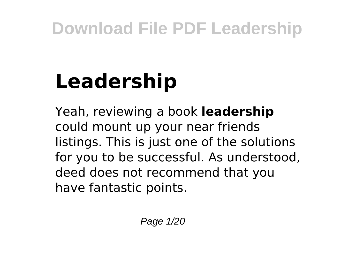# **Leadership**

Yeah, reviewing a book **leadership** could mount up your near friends listings. This is just one of the solutions for you to be successful. As understood, deed does not recommend that you have fantastic points.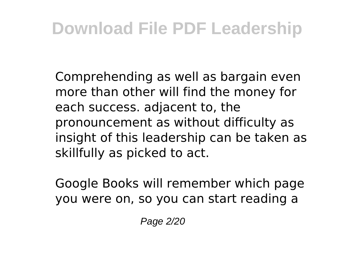Comprehending as well as bargain even more than other will find the money for each success. adjacent to, the pronouncement as without difficulty as insight of this leadership can be taken as skillfully as picked to act.

Google Books will remember which page you were on, so you can start reading a

Page 2/20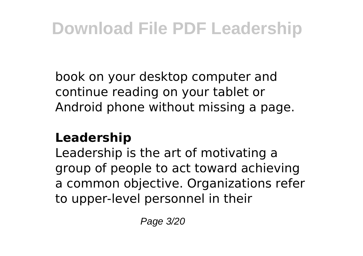book on your desktop computer and continue reading on your tablet or Android phone without missing a page.

#### **Leadership**

Leadership is the art of motivating a group of people to act toward achieving a common objective. Organizations refer to upper-level personnel in their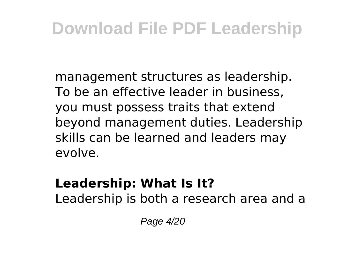management structures as leadership. To be an effective leader in business, you must possess traits that extend beyond management duties. Leadership skills can be learned and leaders may evolve.

### **Leadership: What Is It?**

Leadership is both a research area and a

Page 4/20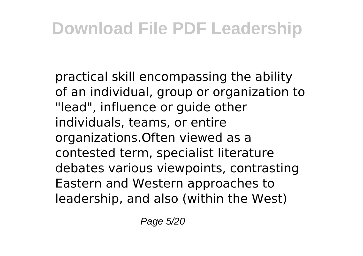practical skill encompassing the ability of an individual, group or organization to "lead", influence or guide other individuals, teams, or entire organizations.Often viewed as a contested term, specialist literature debates various viewpoints, contrasting Eastern and Western approaches to leadership, and also (within the West)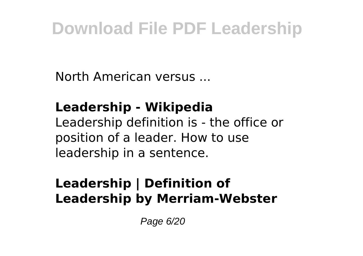North American versus ...

### **Leadership - Wikipedia**

Leadership definition is - the office or position of a leader. How to use leadership in a sentence.

### **Leadership | Definition of Leadership by Merriam-Webster**

Page 6/20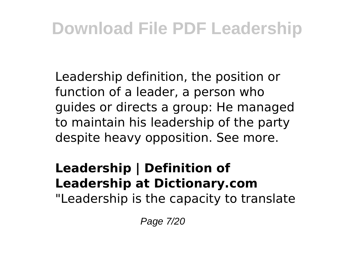Leadership definition, the position or function of a leader, a person who guides or directs a group: He managed to maintain his leadership of the party despite heavy opposition. See more.

### **Leadership | Definition of Leadership at Dictionary.com**

"Leadership is the capacity to translate

Page 7/20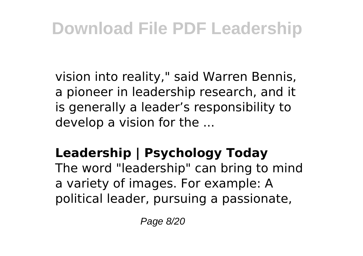vision into reality," said Warren Bennis, a pioneer in leadership research, and it is generally a leader's responsibility to develop a vision for the ...

### **Leadership | Psychology Today**

The word "leadership" can bring to mind a variety of images. For example: A political leader, pursuing a passionate,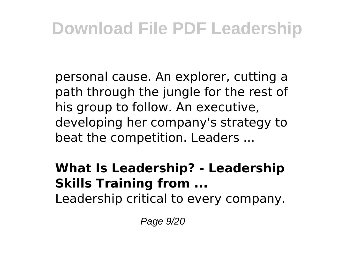personal cause. An explorer, cutting a path through the jungle for the rest of his group to follow. An executive, developing her company's strategy to beat the competition. Leaders ...

### **What Is Leadership? - Leadership Skills Training from ...**

Leadership critical to every company.

Page 9/20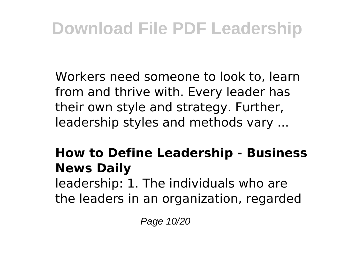Workers need someone to look to, learn from and thrive with. Every leader has their own style and strategy. Further, leadership styles and methods vary ...

### **How to Define Leadership - Business News Daily**

leadership: 1. The individuals who are the leaders in an organization, regarded

Page 10/20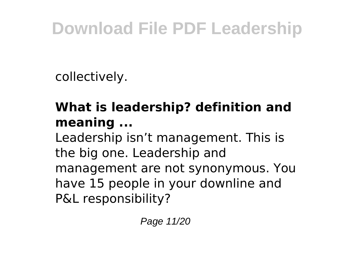collectively.

### **What is leadership? definition and meaning ...**

Leadership isn't management. This is the big one. Leadership and management are not synonymous. You have 15 people in your downline and P&L responsibility?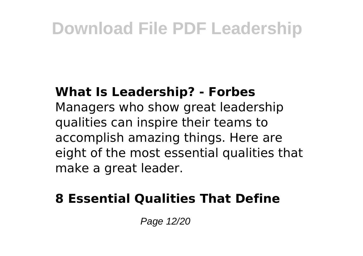#### **What Is Leadership? - Forbes**

Managers who show great leadership qualities can inspire their teams to accomplish amazing things. Here are eight of the most essential qualities that make a great leader.

### **8 Essential Qualities That Define**

Page 12/20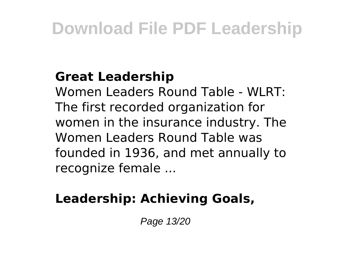### **Great Leadership**

Women Leaders Round Table - WLRT: The first recorded organization for women in the insurance industry. The Women Leaders Round Table was founded in 1936, and met annually to recognize female ...

### **Leadership: Achieving Goals,**

Page 13/20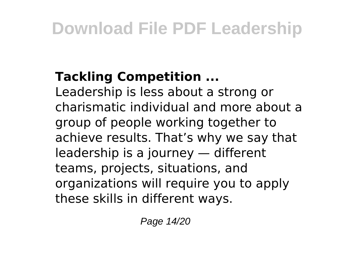### **Tackling Competition ...**

Leadership is less about a strong or charismatic individual and more about a group of people working together to achieve results. That's why we say that leadership is a journey — different teams, projects, situations, and organizations will require you to apply these skills in different ways.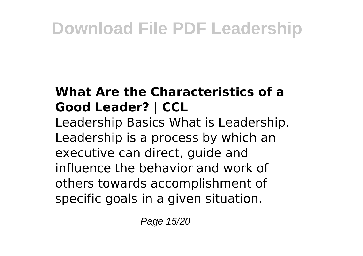### **What Are the Characteristics of a Good Leader? | CCL**

Leadership Basics What is Leadership. Leadership is a process by which an executive can direct, guide and influence the behavior and work of others towards accomplishment of specific goals in a given situation.

Page 15/20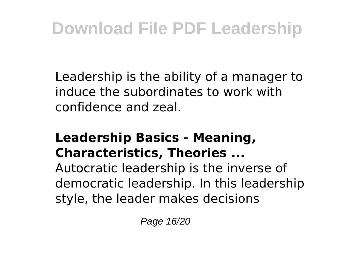Leadership is the ability of a manager to induce the subordinates to work with confidence and zeal.

### **Leadership Basics - Meaning, Characteristics, Theories ...**

Autocratic leadership is the inverse of democratic leadership. In this leadership style, the leader makes decisions

Page 16/20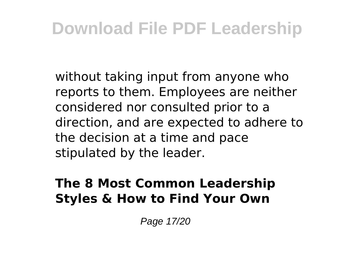without taking input from anyone who reports to them. Employees are neither considered nor consulted prior to a direction, and are expected to adhere to the decision at a time and pace stipulated by the leader.

### **The 8 Most Common Leadership Styles & How to Find Your Own**

Page 17/20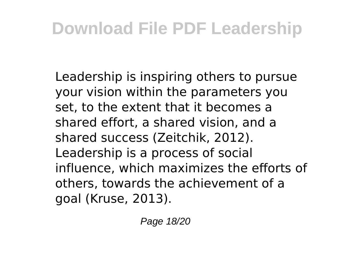Leadership is inspiring others to pursue your vision within the parameters you set, to the extent that it becomes a shared effort, a shared vision, and a shared success (Zeitchik, 2012). Leadership is a process of social influence, which maximizes the efforts of others, towards the achievement of a goal (Kruse, 2013).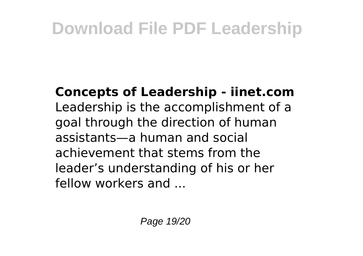**Concepts of Leadership - iinet.com** Leadership is the accomplishment of a goal through the direction of human assistants—a human and social achievement that stems from the leader's understanding of his or her fellow workers and ...